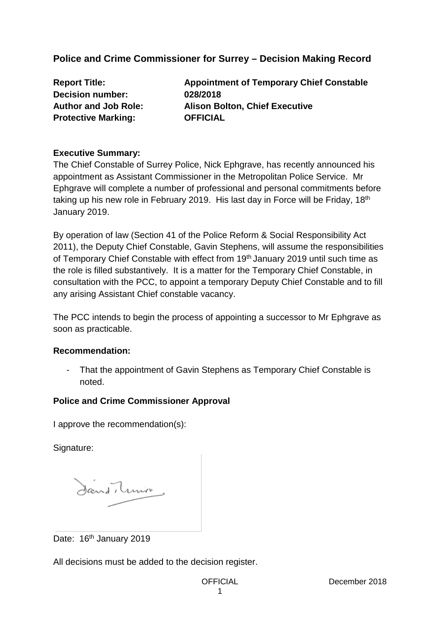**Police and Crime Commissioner for Surrey – Decision Making Record**

**Decision number: 028/2018 Protective Marking: OFFICIAL**

**Report Title: Appointment of Temporary Chief Constable Author and Job Role: Alison Bolton, Chief Executive**

### **Executive Summary:**

The Chief Constable of Surrey Police, Nick Ephgrave, has recently announced his appointment as Assistant Commissioner in the Metropolitan Police Service. Mr Ephgrave will complete a number of professional and personal commitments before taking up his new role in February 2019. His last day in Force will be Friday, 18<sup>th</sup> January 2019.

By operation of law (Section 41 of the Police Reform & Social Responsibility Act 2011), the Deputy Chief Constable, Gavin Stephens, will assume the responsibilities of Temporary Chief Constable with effect from 19<sup>th</sup> January 2019 until such time as the role is filled substantively. It is a matter for the Temporary Chief Constable, in consultation with the PCC, to appoint a temporary Deputy Chief Constable and to fill any arising Assistant Chief constable vacancy.

The PCC intends to begin the process of appointing a successor to Mr Ephgrave as soon as practicable.

### **Recommendation:**

- That the appointment of Gavin Stephens as Temporary Chief Constable is noted.

## **Police and Crime Commissioner Approval**

I approve the recommendation(s):

Signature:

Jand Tunis

Date: 16<sup>th</sup> January 2019

All decisions must be added to the decision register.